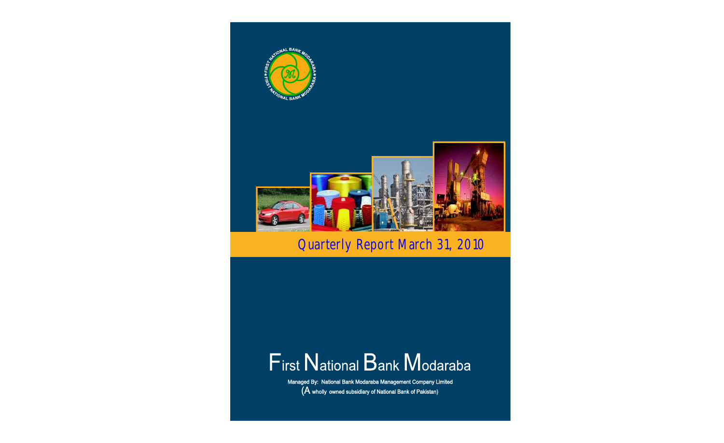

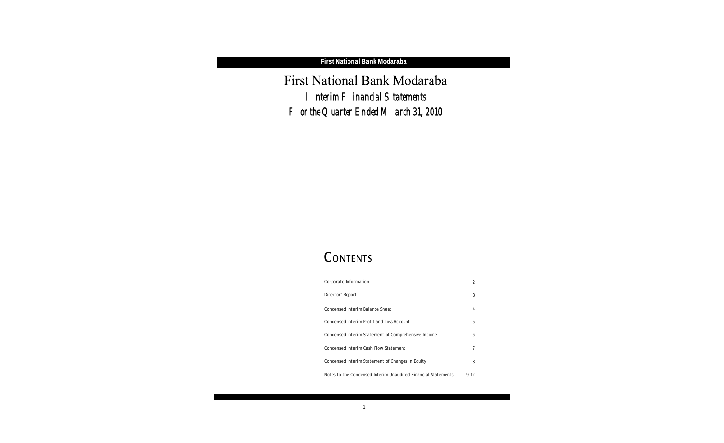First National Bank Modaraba *Interim Financial Statements For the Quarter Ended March 31, 2010*

# CONTENTS

| Corporate Information                                         | 2    |
|---------------------------------------------------------------|------|
| Director' Report                                              | 3    |
| Condensed Interim Balance Sheet                               | 4    |
| Condensed Interim Profit and Loss Account                     | 5    |
| Condensed Interim Statement of Comprehensive Income           | 6    |
| Condensed Interim Cash Flow Statement                         |      |
| Condensed Interim Statement of Changes in Equity              | 8    |
| Notes to the Condensed Interim Unaudited Financial Statements | 9-12 |



1

**First National Bank Modaraba**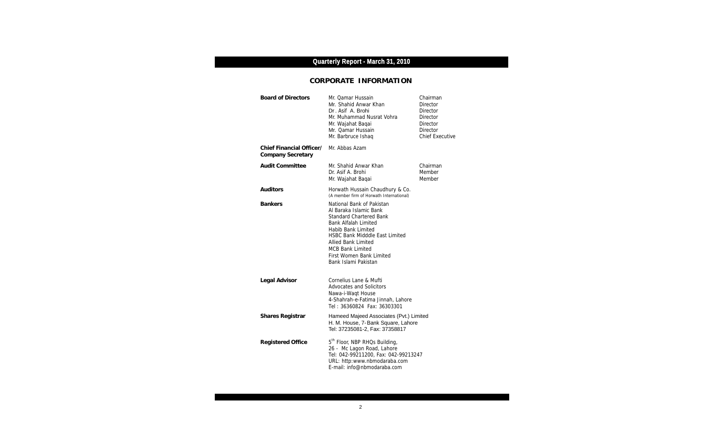### **CORPORATE INFORMATION**

| <b>Board of Directors</b>                     | Mr. Qamar Hussain<br>Mr. Shahid Anwar Khan<br>Dr. Asif A. Brohi<br>Mr. Muhammad Nusrat Vohra<br>Mr. Wajahat Baqai<br>Mr. Qamar Hussain<br>Mr. Barbruce Ishaq                                                                                                                                     | Chairman<br><b>Director</b><br><b>Director</b><br><b>Director</b><br><b>Director</b><br>Director<br><b>Chief Executive</b> |
|-----------------------------------------------|--------------------------------------------------------------------------------------------------------------------------------------------------------------------------------------------------------------------------------------------------------------------------------------------------|----------------------------------------------------------------------------------------------------------------------------|
| Chief Financial Officer/<br>Company Secretary | Mr. Abbas Azam                                                                                                                                                                                                                                                                                   |                                                                                                                            |
| <b>Audit Committee</b>                        | Mr. Shahid Anwar Khan<br>Dr. Asif A. Brohi<br>Mr. Wajahat Baqai                                                                                                                                                                                                                                  | Chairman<br>Member<br>Member                                                                                               |
| Auditors                                      | Horwath Hussain Chaudhury & Co.<br>(A member firm of Horwath International)                                                                                                                                                                                                                      |                                                                                                                            |
| <b>Bankers</b>                                | National Bank of Pakistan<br>Al Baraka Islamic Bank<br><b>Standard Chartered Bank</b><br><b>Bank Alfalah Limited</b><br>Habib Bank Limited<br><b>HSBC Bank Midddle East Limited</b><br><b>Allied Bank Limited</b><br><b>MCB Bank Limited</b><br>First Women Bank Limited<br>Bank Islami Pakistan |                                                                                                                            |
| Legal Advisor                                 | Cornelius Lane & Mufti<br>Advocates and Solicitors<br>Nawa-i-Waqt House<br>4-Shahrah-e-Fatima Jinnah, Lahore                                                                                                                                                                                     |                                                                                                                            |
| Shares Registrar                              | Hameed Majeed Associates (Pvt.) Limited<br>H. M. House, 7-Bank Square, Lahore<br>Tel: 37235081-2, Fax: 37358817                                                                                                                                                                                  |                                                                                                                            |
| Registered Office                             | 5 <sup>th</sup> Floor, NBP RHQs Building,<br>26 - Mc Lagon Road, Lahore<br>Tel: 042-99211200, Fax: 042-99213247<br>URL: http:www.nbmodaraba.com<br>E-mail: info@nbmodaraba.com                                                                                                                   |                                                                                                                            |



## **Quarterly Report - March 31, 2010**

ī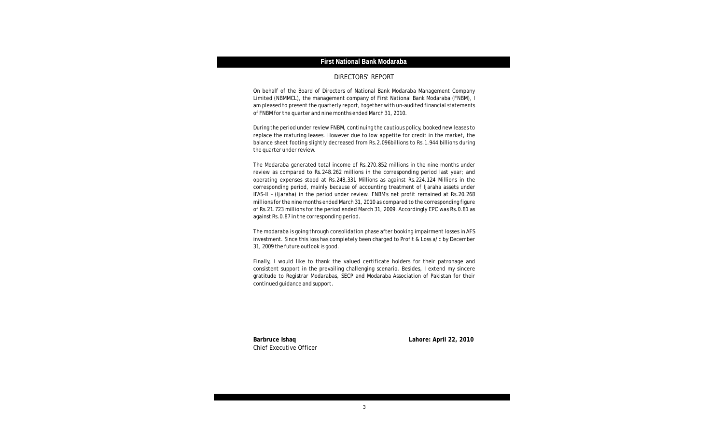

### **First National Bank Modaraba**

#### DIRECTORS' REPORT

On behalf of the Board of Directors of National Bank Modaraba Management Company Limited (NBMMCL), the management company of First National Bank Modaraba (FNBM), I am pleased to present the quarterly report, together with un-audited financial statements of FNBM for the quarter and nine months ended March 31, 2010.

During the period under review FNBM, continuing the cautious policy, booked new leases to replace the maturing leases. However due to low appetite for credit in the market, the balance sheet footing slightly decreased from Rs.2.096billions to Rs.1.944 billions during the quarter under review.

The Modaraba generated total income of Rs.270.852 millions in the nine months under review as compared to Rs.248.262 millions in the corresponding period last year; and operating expenses stood at Rs.248,331 Millions as against Rs.224.124 Millions in the corresponding period, mainly because of accounting treatment of Ijaraha assets under IFAS-II – (Ijaraha) in the period under review. FNBM's net profit remained at Rs.20.268 millions for the nine months ended March 31, 2010 as compared to the corresponding figure of Rs.21.723 millions for the period ended March 31, 2009. Accordingly EPC was Rs.0.81 as against Rs.0.87 in the corresponding period.

The modaraba is going through consolidation phase after booking impairment losses in AFS investment. Since this loss has completely been charged to Profit & Loss a/c by December 31, 2009 the future outlook is good.

Finally, I would like to thank the valued certificate holders for their patronage and consistent support in the prevailing challenging scenario. Besides, I extend my sincere gratitude to Registrar Modarabas, SECP and Modaraba Association of Pakistan for their continued guidance and support.

Chief Executive Officer

**Barbruce Ishaq Lahore: April 22, 2010**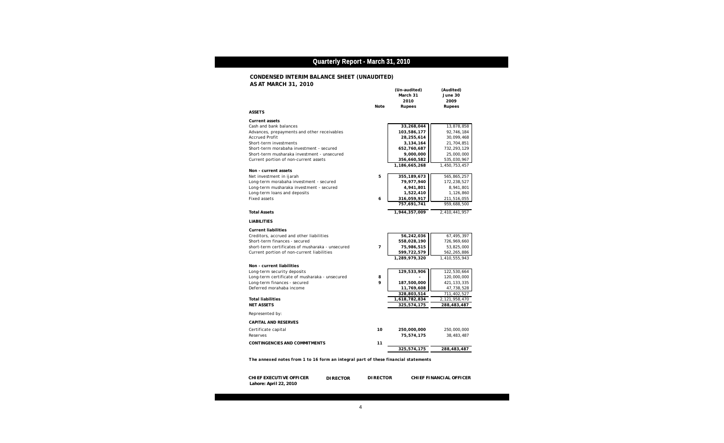l



### **Quarterly Report - March 31, 2010**

| Note<br>Rupees<br>Rupees<br><b>ASSETS</b><br>Current assets<br>33,268,044<br>Cash and bank balances<br>103,586,177<br>Advances, prepayments and other receivables<br><b>Accrued Profit</b><br>28,255,614<br>Short-term investments<br>3,134,164<br>652,760,687<br>Short-term morabaha investment - secured<br>9,000,000<br>Short-term musharaka investment - unsecured<br>Current portion of non-current assets<br>356,660,582<br>1,186,665,268<br>1,450,753,457<br>Non - current assets<br>5<br>355, 189, 673<br>Net investment in ijarah<br>79,977,940<br>Long-term morabaha investment - secured<br>Long-term musharaka investment - secured<br>4,941,801<br>Long-term loans and deposits<br>1,522,410<br><b>Fixed assets</b><br>6<br>316,059,917<br>757,691,741<br>959,688,500<br><b>Total Assets</b><br>1,944,357,009<br>2,410,441,957<br><b>LIABILITIES</b><br>Current liabilities | (Audited)<br>June 30<br>2009                                                                                                                               |
|------------------------------------------------------------------------------------------------------------------------------------------------------------------------------------------------------------------------------------------------------------------------------------------------------------------------------------------------------------------------------------------------------------------------------------------------------------------------------------------------------------------------------------------------------------------------------------------------------------------------------------------------------------------------------------------------------------------------------------------------------------------------------------------------------------------------------------------------------------------------------------------|------------------------------------------------------------------------------------------------------------------------------------------------------------|
|                                                                                                                                                                                                                                                                                                                                                                                                                                                                                                                                                                                                                                                                                                                                                                                                                                                                                          |                                                                                                                                                            |
|                                                                                                                                                                                                                                                                                                                                                                                                                                                                                                                                                                                                                                                                                                                                                                                                                                                                                          | 13,878,858<br>92,746,184<br>30,099,468<br>21,704,851<br>732, 293, 129<br>25,000,000<br>535,030,967<br>565,865,257<br>172,238,527<br>8,941,801<br>1,126,860 |
|                                                                                                                                                                                                                                                                                                                                                                                                                                                                                                                                                                                                                                                                                                                                                                                                                                                                                          | 211,516,055                                                                                                                                                |
|                                                                                                                                                                                                                                                                                                                                                                                                                                                                                                                                                                                                                                                                                                                                                                                                                                                                                          |                                                                                                                                                            |
|                                                                                                                                                                                                                                                                                                                                                                                                                                                                                                                                                                                                                                                                                                                                                                                                                                                                                          |                                                                                                                                                            |
| 56,242,036<br>Creditors, accrued and other liabilities<br>Short-term finances - secured<br>558,028,190<br>$\overline{7}$<br>75,986,515<br>short-term certificates of musharaka - unsecured<br>Current portion of non-current liabilities<br>599,722,579<br>1,289,979,320<br>1,410,555,943                                                                                                                                                                                                                                                                                                                                                                                                                                                                                                                                                                                                | 67,495,397<br>726,969,660<br>53,825,000<br>562,265,886                                                                                                     |
| Non - current liabilities<br>129,533,906<br>Long-term security deposits<br>Long-term certificate of musharaka - unsecured<br>8<br>9<br>Long-term finances - secured<br>187,500,000<br>Deferred morahaba income<br>11,769,608<br>328,803,514                                                                                                                                                                                                                                                                                                                                                                                                                                                                                                                                                                                                                                              | 122,530,664<br>120,000,000<br>421, 133, 335<br>47,738,528<br>711,402,527                                                                                   |
| 2,121,958,470<br><b>Total liabilities</b><br>1,618,782,834<br>325,574,175<br>288,483,487<br><b>NET ASSETS</b>                                                                                                                                                                                                                                                                                                                                                                                                                                                                                                                                                                                                                                                                                                                                                                            |                                                                                                                                                            |
| Represented by:                                                                                                                                                                                                                                                                                                                                                                                                                                                                                                                                                                                                                                                                                                                                                                                                                                                                          |                                                                                                                                                            |
| <b>CAPITAL AND RESERVES</b>                                                                                                                                                                                                                                                                                                                                                                                                                                                                                                                                                                                                                                                                                                                                                                                                                                                              |                                                                                                                                                            |
| 10<br>Certificate capital<br>250,000,000<br>Reserves<br>75,574,175                                                                                                                                                                                                                                                                                                                                                                                                                                                                                                                                                                                                                                                                                                                                                                                                                       | 250,000,000<br>38,483,487                                                                                                                                  |
| <b>CONTINGENCIES AND COMMITMENTS</b><br>11<br>325,574,175<br>288,483,487                                                                                                                                                                                                                                                                                                                                                                                                                                                                                                                                                                                                                                                                                                                                                                                                                 |                                                                                                                                                            |

*The annexed notes from 1 to 16 form an integral part of these financial statements*

 **CHIEF EXECUTIVE OFFICER DIRECTOR DIRECTOR CHIEF FINANCIAL OFFICER Lahore: April 22, 2010**

### **CONDENSED INTERIM BALANCE SHEET (UNAUDITED) AS AT MARCH 31, 2010**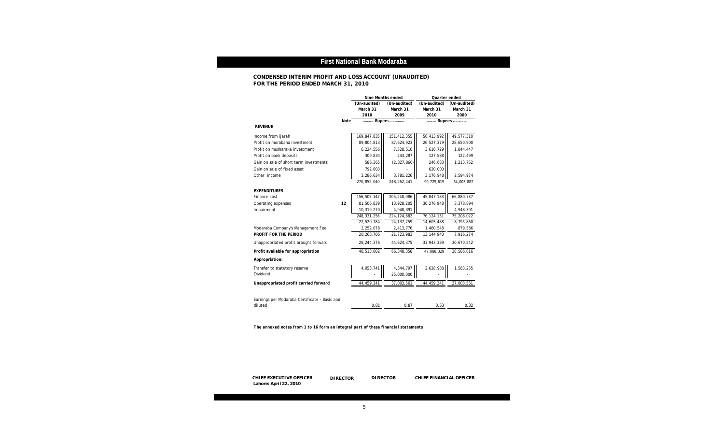

### **First National Bank Modaraba**

|                                               |      | Nine Months ended |               |              | Quarter ended |  |
|-----------------------------------------------|------|-------------------|---------------|--------------|---------------|--|
|                                               |      | (Un-audited)      | (Un-audited)  | (Un-audited) | (Un-audited)  |  |
|                                               |      | March 31          | March 31      | March 31     | March 31      |  |
|                                               |      | 2010              | 2009          | 2010         | 2009          |  |
|                                               | Note |                   | Rupees        | Rupees       |               |  |
| <b>REVENUE</b>                                |      |                   |               |              |               |  |
| Income from ijarah                            |      | 169,847,835       | 151,412,355   | 56,413,992   | 49,577,310    |  |
| Profit on morabaha investment                 |      | 89,804,813        | 87,624,923    | 26,527,379   | 28,650,900    |  |
| Profit on musharaka investment                |      | 6,224,556         | 7,528,510     | 3,616,729    | 1,844,447     |  |
| Profit on bank deposits                       |      | 309,834           | 243,287       | 127,888      | 122,499       |  |
| Gain on sale of short term investments        |      | 586,365           | (2, 327, 860) | 246,683      | 1,213,752     |  |
| Gain on sale of fixed asset                   |      | 792,003           |               | 620,000      |               |  |
| Other income                                  |      | 3,286,634         | 3,781,226     | 3,176,948    | 2,594,974     |  |
|                                               |      | 270.852.040       | 248, 262, 441 | 90,729,619   | 84,003,882    |  |
| <b>EXPENDITURES</b>                           |      |                   |               |              |               |  |
| Finance cost                                  |      | 156,505,147       | 205, 248, 086 | 45,847,183   | 66,880,737    |  |
| Operating expenses                            | 12   | 81,506,839        | 13,928,205    | 30,276,948   | 3,378,894     |  |
| Impairment                                    |      | 10,319,270        | 4,948,391     |              | 4,948,391     |  |
|                                               |      | 248, 331, 256     | 224, 124, 682 | 76, 124, 131 | 75,208,022    |  |
|                                               |      | 22,520,784        | 24, 137, 759  | 14,605,488   | 8,795,860     |  |
| Modaraba Company's Management Fee             |      | 2,252,078         | 2,413,776     | 1,460,548    | 879,586       |  |
| PROFIT FOR THE PERIOD                         |      | 20,268,706        | 21,723,983    | 13,144,940   | 7,916,274     |  |
| Unappropriated profit brought forward         |      | 28, 244, 376      | 44,624,375    | 33,943,389   | 30,670,542    |  |
| Profit available for appropriation            |      | 48,513,082        | 66,348,358    | 47,088,329   | 38,586,816    |  |
| Appropriation:                                |      |                   |               |              |               |  |
| Transfer to statutory reserve                 |      | 4,053,741         | 4,344,797     | 2,628,988    | 1,583,255     |  |
| Dividend                                      |      |                   | 25,000,000    |              |               |  |
| Unappropriated profit carried forward         |      | 44,459,341        | 37,003,561    | 44,459,341   | 37,003,561    |  |
|                                               |      |                   |               |              |               |  |
| Earnings per Modaraba Certificate - Basic and |      |                   |               |              |               |  |
| diluted                                       |      | 0.81              | 0.87          | 0.53         | 0.32          |  |
|                                               |      |                   |               |              |               |  |

*The annexed notes from 1 to 16 form an integral part of these financial statements*

### **CONDENSED INTERIM PROFIT AND LOSS ACCOUNT (UNAUDITED) FOR THE PERIOD ENDED MARCH 31, 2010**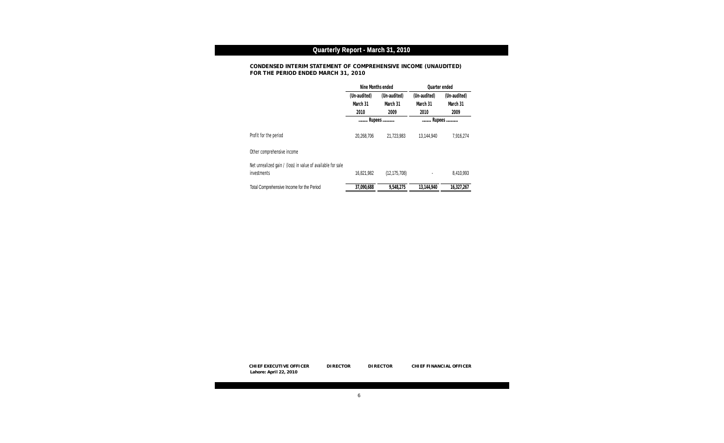**DIRECTOR** 



## **Quarterly Report - March 31, 2010**

|                                                                            | Nine Months ended |                | Quarter ended |              |
|----------------------------------------------------------------------------|-------------------|----------------|---------------|--------------|
|                                                                            | (Un-audited)      | (Un-audited)   | (Un-audited)  | (Un-audited) |
|                                                                            | March 31          | March 31       | March 31      | March 31     |
|                                                                            | 2010              | 2009           | 2010          | 2009         |
|                                                                            | .                 | Rupees         |               | Rupees       |
| Profit for the period                                                      | 20,268,706        | 21,723,983     | 13,144,940    | 7,916,274    |
| Other comprehensive income                                                 |                   |                |               |              |
| Net unrealized gain / (loss) in value of available for sale<br>investments | 16,821,982        | (12, 175, 708) |               | 8,410,993    |
| Total Comprehensive Income for the Period                                  | 37,090,688        | 9,548,275      | 13,144,940    | 16,327,267   |

### **CONDENSED INTERIM STATEMENT OF COMPREHENSIVE INCOME (UNAUDITED) FOR THE PERIOD ENDED MARCH 31, 2010**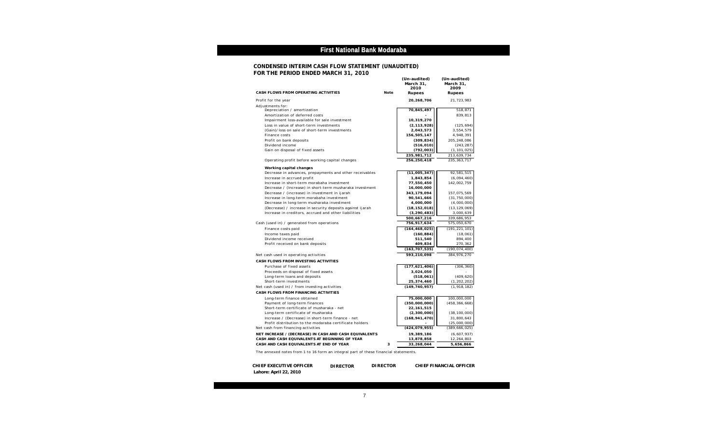

**DIRECTOR** 

#### **CONDENSED INTERIM CASH FLOW STATEMENT (UNAUDITED) FOR THE PERIOD ENDED MARCH 31, 2010 (Un-audited) (Un-audited)**

|                                                                                                              |      | March 31,                     | March 31,                     |
|--------------------------------------------------------------------------------------------------------------|------|-------------------------------|-------------------------------|
| CASH FLOWS FROM OPERATING ACTIVITIES                                                                         | Note | 2010<br>Rupees                | 2009<br>Rupees                |
| Profit for the year                                                                                          |      | 20,268,706                    | 21,723,983                    |
| Adjustments for:                                                                                             |      |                               |                               |
| Depreciation / amortization                                                                                  |      | 70,845,497                    | 518,871                       |
| Amortization of deferred costs                                                                               |      |                               | 839,813                       |
| Impairment loss-available for sale investment                                                                |      | 10,319,270                    |                               |
| Loss in value of short-term investments                                                                      |      | (2, 113, 928)                 | (125, 694)                    |
| (Gain)/loss on sale of short-term investments                                                                |      | 2,043,573                     | 3,554,579                     |
| Finance costs                                                                                                |      | 156,505,147                   | 4,948,391                     |
| Profit on bank deposits                                                                                      |      | (309, 834)                    | 205, 248, 086                 |
| Dividend income                                                                                              |      | (516, 010)                    | (243, 287)                    |
| Gain on disposal of fixed assets                                                                             |      | (792, 003)                    | (1, 101, 025)                 |
| Operating profit before working capital changes                                                              |      | 235,981,712<br>256,250,418    | 213,639,734<br>235, 363, 717  |
|                                                                                                              |      |                               |                               |
| Working capital changes                                                                                      |      |                               |                               |
| Decrease in advances, prepayments and other receivables                                                      |      | (11,005,347)                  | 92,581,515                    |
| Increase in accrued profit                                                                                   |      | 1,843,854                     | (6,094,460)                   |
| Increase in short-term morabaha investment                                                                   |      | 77,550,450                    | 142,002,759                   |
| Decrease / (Increase) in short-term musharaka investment                                                     |      | 16,000,000                    |                               |
| Decrease / (increase) in investment in ijarah                                                                |      | 343,179,094                   | 157,075,569                   |
| Increase in long-term morabaha investment<br>Decrease in long-term musharaka investment                      |      | 90,541,666<br>4,000,000       | (31, 750, 000)<br>(4,000,000) |
| (Decrease) / increase in security deposits against ijarah                                                    |      | (18, 152, 018)                | (13, 129, 069)                |
| Increase in creditors, accrued and other liabilities                                                         |      | (3, 290, 483)                 | 3,000,639                     |
|                                                                                                              |      | 500,667,216                   | 339,686,953                   |
| Cash (used in) / generated from operations                                                                   |      | 756,917,634                   | 575,050,670                   |
|                                                                                                              |      |                               |                               |
| Finance costs paid<br>Income taxes paid                                                                      |      | (164, 468, 025)<br>(160, 884) | (191, 221, 101)<br>(18,061)   |
| Dividend income received                                                                                     |      | 511,540                       | 894,400                       |
| Profit received on bank deposits                                                                             |      | 409,834                       | 270,362                       |
|                                                                                                              |      | (163, 707, 535)               | (190, 074, 400)               |
| Net cash used in operating activities                                                                        |      | 593,210,098                   | 384,976,270                   |
| CASH FLOWS FROM INVESTING ACTIVITIES                                                                         |      |                               |                               |
|                                                                                                              |      |                               |                               |
| Purchase of fixed assets                                                                                     |      | (177, 621, 406)               | (306, 360)                    |
| Proceeds on disposal of fixed assets                                                                         |      | 3,024,050                     |                               |
| Long-term loans and deposits                                                                                 |      | (518, 061)                    | (409, 620)                    |
| Short-term investments                                                                                       |      | 25,374,460<br>(149, 740, 957) | (1, 202, 202)                 |
| Net cash (used in) / from investing activities                                                               |      |                               | (1, 918, 182)                 |
| CASH FLOWS FROM FINANCING ACTIVITIES                                                                         |      |                               |                               |
| Long-term finance obtained                                                                                   |      | 75,000,000                    | 100,000,000                   |
| Payment of long-term finances                                                                                |      | (350,000,000)                 | (458, 366, 668)               |
| Short-term certificate of musharaka - net                                                                    |      | 22, 161, 515                  |                               |
| Long-term certificate of musharaka                                                                           |      | (2,300,000)                   | (38, 100, 000)                |
| Increase / (Decrease) in short-term finance - net<br>Profit distribution to the modaraba certificate holders |      | (168, 941, 470)               | 31,800,643<br>(25,000,000)    |
| Net cash from financing activities                                                                           |      | (424, 079, 955)               | (389, 666, 025)               |
|                                                                                                              |      |                               |                               |
| NET INCREASE / (DECREASE) IN CASH AND CASH EQUIVALENTS                                                       |      | 19,389,186                    | (6,607,937)                   |
| CASH AND CASH EQUIVALENTS AT BEGINNING OF YEAR                                                               |      | 13,878,858                    | 12,264,803                    |
| CASH AND CASH EQUIVALENTS AT END OF YEAR                                                                     | 3    | 33,268,044                    | 5,656,866                     |
| The annexed notes from 1 to 16 form an integral part of these financial statements                           |      |                               |                               |

The annexed notes from 1 to 16 form an integral part of these financial statements.

### **First National Bank Modaraba**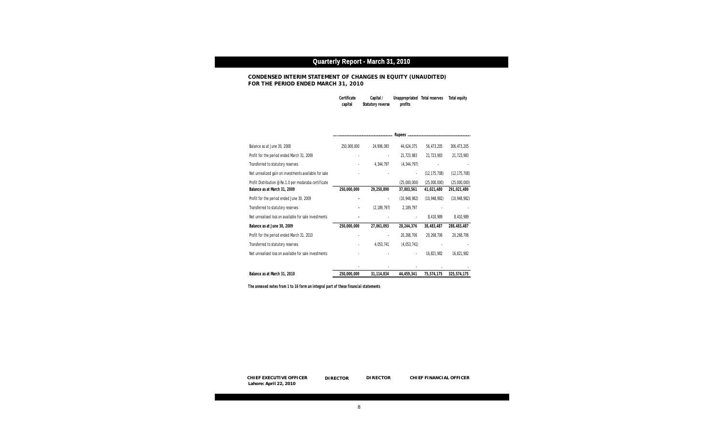

DIRECTOR

### **Quarterly Report - March 31, 2010**

| Certificate | Capital/          | Unappropriated Total reserves | Total equity |
|-------------|-------------------|-------------------------------|--------------|
| capital     | Statutory reverse | profits                       |              |

|                                                       |             |               | Rupees         |                |                |
|-------------------------------------------------------|-------------|---------------|----------------|----------------|----------------|
| Balance as at June 30, 2008                           | 250,000,000 | 24,906,093    | 44,624,375     | 56,473,205     | 306,473,205    |
| Profit for the period ended March 31, 2009            |             |               | 21,723,983     | 21,723,983     | 21,723,983     |
| Transferred to statutory reserves                     |             | 4,344,797     | (4, 344, 797)  |                |                |
| Net unrealized gain on investments available for sale |             |               |                | (12, 175, 708) | (12, 175, 708) |
| Profit Distribution @ Re.1.0 per modaraba certificate |             |               | (25,000,000)   | (25,000,000)   | (25,000,000)   |
| Balance as at March 31, 2009                          | 250,000,000 | 29,250,890    | 37,003,561     | 41,021,480     | 291,021,480    |
| Profit for the period ended June 30, 2009             |             |               | (10, 948, 982) | (10, 948, 982) | (10, 948, 982) |
| Transferred to statutory reserves                     |             | (2, 189, 797) | 2,189,797      |                |                |
| Net unrealised loss on available for sale investments |             |               |                | 8,410,989      | 8,410,989      |
| Balance as at June 30, 2009                           | 250,000,000 | 27,061,093    | 28,244,376     | 38,483,487     | 288,483,487    |
| Profit for the period ended March 31, 2010            |             |               | 20,268,706     | 20,268,706     | 20,268,706     |
| Transferred to statutory reserves                     |             | 4,053,741     | (4,053,741)    |                |                |
| Net unrealised loss on available for sale investments |             |               |                | 16,821,982     | 16,821,982     |
|                                                       |             |               |                |                |                |
| Balance as at March 31, 2010                          | 250,000,000 | 31, 114, 834  | 44,459,341     | 75,574,175     | 325,574,175    |

*The annexed notes from 1 to 16 form an integral part of these financial statements*

### **CONDENSED INTERIM STATEMENT OF CHANGES IN EQUITY (UNAUDITED) FOR THE PERIOD ENDED MARCH 31, 2010**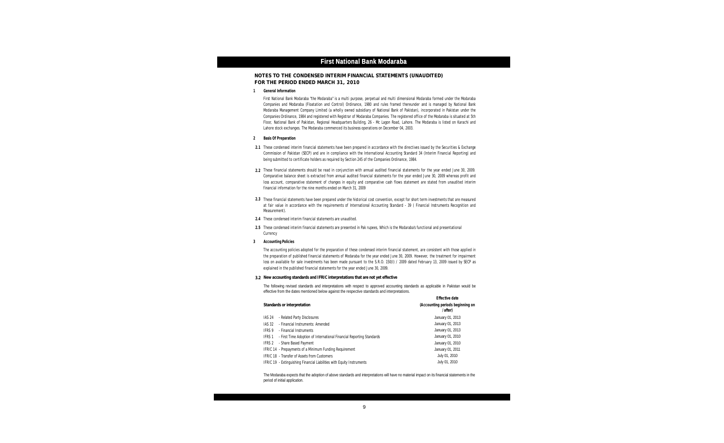

### **First National Bank Modaraba**

**1 General Information**

- **2 Basis Of Preparation**
- **2.1** These condensed interim financial statements have been prepared in accordance with the directives issued by the Securities & Exchange Commission of Pakistan (SECP) and are in compliance with the International Accounting Standard 34 (Interim Financial Reporting) and being submitted to certificate holders as required by Section 245 of the Companies Ordinance, 1984.
- **2.2** These financial statements should be read in conjunction with annual audited financial statements for the year ended June 30, 2009. Comparative balance sheet is extracted from annual audited financial statements for the year ended June 30, 2009 whereas profit and loss account, comparative statement of changes in equity and comparative cash flows statement are stated from unaudited interim financial information for the nine months ended on March 31, 2009
- **2.3** These financial statements have been prepared under the historical cost convention, except for short term investments that are measured at fair value in accordance with the requirements of International Accounting Standard - 39 ( Financial Instruments Recognition and Measurement).
- **2.4** These condensed interim financial statements are unaudited.
- **2.5** These condensed interim financial statements are presented in Pak rupees, Which is the Modaraba's functional and presentational Currency
- **3 Accounting Policies**

**3.2 New accounting standards and IFRIC interpretations that are not yet effective**

The following revised standards and interpretations with respect to approved accounting standards as applicable in Pakistan would be effective from the dates mentioned below against the respective standards and interpretations.

The Modaraba expects that the adoption of above standards and interpretations will have no material impact on its financial statements in the period of initial application.

First National Bank Modaraba "the Modaraba" is a multi purpose, perpetual and multi dimensional Modaraba formed under the Modaraba Companies and Modaraba (Floatation and Control) Ordinance, 1980 and rules framed thereunder and is managed by National Bank Modaraba Management Company Limited (a wholly owned subsidiary of National Bank of Pakistan), incorporated in Pakistan under the Companies Ordinance, 1984 and registered with Registrar of Modaraba Companies. The registered office of the Modaraba is situated at 5th Floor, National Bank of Pakistan, Regional Headquarters Building, 26 - Mc Lagon Road, Lahore. The Modaraba is listed on Karachi and Lahore stock exchanges. The Modaraba commenced its business operations on December 04, 2003.

| Standards or interpretation                                                    | <b>Effective date</b><br>(Accounting periods beginning on<br>/ after) |
|--------------------------------------------------------------------------------|-----------------------------------------------------------------------|
| - Related Party Disclosures<br><b>IAS 24</b>                                   | January 01, 2013                                                      |
| - Financial Instruments: Amended<br>IAS 32                                     | January 01, 2013                                                      |
| - Financial Instruments<br>IFRS 9                                              | January 01, 2013                                                      |
| - First Time Adoption of International Financial Reporting Standards<br>IFRS 1 | January 01, 2010                                                      |
| - Share Based Payment<br>IFRS 2                                                | January 01, 2010                                                      |
| IFRIC 14 - Prepayments of a Minimum Funding Requirement                        | January 01, 2011                                                      |
| <b>IFRIC 18 - Transfer of Assets from Customers</b>                            | July 01, 2010                                                         |
| <b>IFRIC 19</b> - Extinguishing Financial Liabilities with Equity Instruments  | July 01, 2010                                                         |

The accounting policies adopted for the preparation of these condensed interim financial statement, are consistent with those applied in the preparation of published financial statements of Modaraba for the year ended June 30, 2009. However, the treatment for impairment loss on available for sale investments has been made pursuant to the S.R.O. 150(I) / 2009 dated February 13, 2009 issued by SECP as explained in the published financial statements for the year ended June 30, 2009.

#### **NOTES TO THE CONDENSED INTERIM FINANCIAL STATEMENTS (UNAUDITED) FOR THE PERIOD ENDED MARCH 31, 2010**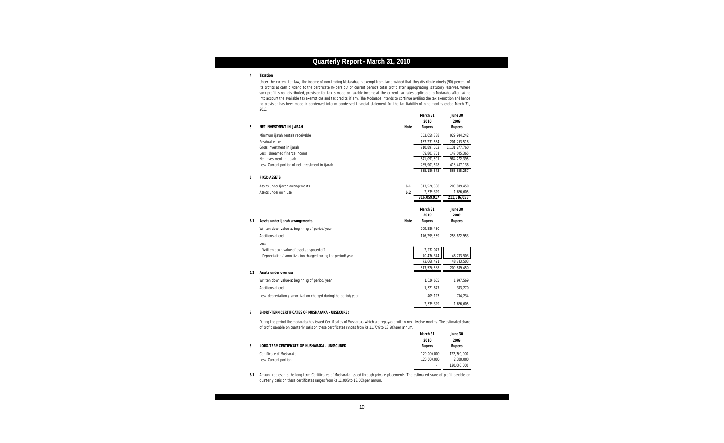

### **Quarterly Report - March 31, 2010**

#### **4 Taxation**

|     |                                                                  |      | March 31<br>2010 | June 30<br>2009  |
|-----|------------------------------------------------------------------|------|------------------|------------------|
| 5   | NET INVESTMENT IN IJARAH                                         | Note | Rupees           | Rupees           |
|     | Minimum ijarah rentals receivable                                |      | 553,659,388      | 929,984,242      |
|     | Residual value                                                   |      | 157,237,664      | 201,293,518      |
|     | Gross investment in ijarah                                       |      | 710,897,052      | 1, 131, 277, 760 |
|     | Less: Unearned finance income                                    |      | 69,803,751       | 147,005,365      |
|     | Net investment in ijarah                                         |      | 641,093,301      | 984, 272, 395    |
|     | Less: Current portion of net investment in ijarah                |      | 285,903,628      | 418,407,138      |
|     |                                                                  |      | 355, 189, 673    | 565,865,257      |
| 6   | <b>FIXED ASSETS</b>                                              |      |                  |                  |
|     | Assets under Ijarah arrangements                                 | 6.1  | 313,520,588      | 209,889,450      |
|     | Assets under own use                                             | 6.2  | 2,539,329        | 1,626,605        |
|     |                                                                  |      | 316,059,917      | 211,516,055      |
|     |                                                                  |      |                  |                  |
|     |                                                                  |      | March 31         | June 30          |
|     |                                                                  |      | 2010             | 2009             |
| 6.1 | Assets under Ijarah arrangements                                 | Note | Rupees           | Rupees           |
|     | Written down value-at beginning of period/year                   |      | 209,889,450      |                  |
|     | Additions at cost                                                |      | 176,299,559      | 258,672,953      |
|     | Less:                                                            |      |                  |                  |
|     | Written down value of assets disposed off                        |      | 2,232,047        |                  |
|     | Depreciation / amortization charged during the period/year       |      | 70,436,374       | 48,783,503       |
|     |                                                                  |      | 72,668,421       | 48,783,503       |
|     |                                                                  |      | 313,520,588      | 209,889,450      |
| 6.2 | Assets under own use                                             |      |                  |                  |
|     | Written down value-at beginning of period/year                   |      | 1,626,605        | 1,997,569        |
|     | Additions at cost                                                |      | 1,321,847        | 333,270          |
|     | Less: depreciation / amortization charged during the period/year |      | 409,123          | 704,234          |
|     |                                                                  |      | 2,539,329        | 1,626,605        |
|     |                                                                  |      |                  |                  |

 Under the current tax law, the income of non-trading Modarabas is exempt from tax provided that they distribute ninety (90) percent of its profits as cash dividend to the certificate holders out of current period's total profit after appropriating statutory reserves. Where such prorit is not aistributed, provision for tax is made on taxable income at the current tax rates applicable to modaraba after taking<br>Into account the available tax exemptions and tax credits, if any. The Modaraba inten no provision has been made in condensed interim condensed financial statement for the tax liability of nine months ended March 31, such profit is not distributed, provision for tax is made on taxable income at the current tax rates applicable to Modaraba after taking 2010.

#### **7 SHORT-TERM CERTIFICATES OF MUSHARAKA - UNSECURED**

|   |                                                | March 31    | June 30.    |
|---|------------------------------------------------|-------------|-------------|
|   |                                                | 2010        | 2009        |
| 8 | LONG-TERM CERTIFICATE OF MUSHARAKA - UNSECURED | Rupees      | Rupees      |
|   | Certificate of Musharaka                       | 120,000,000 | 122,300,000 |
|   | Less: Current portion                          | 120,000,000 | 2,300,000   |
|   |                                                |             | 120.000.000 |

During the period the modaraba has issued Certificates of Musharaka which are repayable within next twelve months. The estimated share of profit payable on quarterly basis on these certificates ranges from Rs 11.70% to 13.50% per annum.

**8.1** Amount represents the long-term Certificates of Musharaka issued through private placements. The estimated share of profit payable on quarterly basis on these certificates ranges from Rs 11.00% to 13.50% per annum.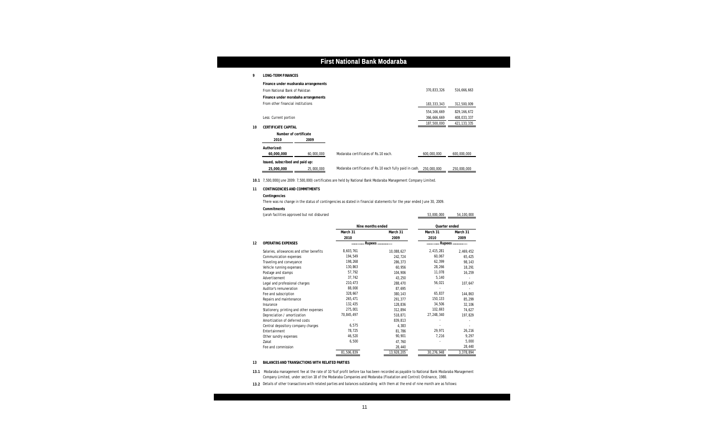

### **First National Bank Modaraba**

#### **9 LONG-TERM FINANCES**

|    | Finance under musharaka arrangements |            |                                                          |               |               |
|----|--------------------------------------|------------|----------------------------------------------------------|---------------|---------------|
|    | From National Bank of Pakistan       |            |                                                          | 370,833,326   | 516,666,663   |
|    | Finance under morabaha arrangements  |            |                                                          |               |               |
|    | From other financial institutions    |            |                                                          | 183, 333, 343 | 312,500,009   |
|    |                                      |            |                                                          | 554, 166, 669 | 829, 166, 672 |
|    | Less: Current portion                |            |                                                          | 366,666,669   | 408,033,337   |
| 10 | CERTIFICATE CAPITAL                  |            |                                                          | 187,500,000   | 421, 133, 335 |
|    | Number of certificate                |            |                                                          |               |               |
|    | 2010                                 | 2009       |                                                          |               |               |
|    | Authorized:<br>60,000,000            | 60,000,000 | Modaraba certificates of Rs. 10 each.                    | 600,000,000   | 600,000,000   |
|    | Issued, subscribed and paid up:      |            |                                                          |               |               |
|    | 25,000,000                           | 25,000,000 | Modaraba certificates of Rs. 10 each fully paid in cash. | 250,000,000   | 250,000,000   |

**10.1** 7,500,000(June 2009: 7,500,000) certificates are held by National Bank Modaraba Management Company Limited.

#### **11 CONTINGENCIES AND COMMITMENTS**

**Contingencies**

There was no change in the status of contingencies as stated in financial statements for the year ended June 30, 2009.

**Commitments**

Ijarah facilities approved but not disbursed 53,000,000 53,000,000

54,100,000

**13 BALANCES AND TRANSACTIONS WITH RELATED PARTIES**

**13.2** Details of other transactions with related parties and balances outstanding with them at the end of nine month are as follows:

|    |                                         | Nine months ended |            | Quarter ended |           |
|----|-----------------------------------------|-------------------|------------|---------------|-----------|
|    |                                         | March 31          | March 31   | March 31      | March 31  |
|    |                                         | 2010              | 2009       | 2010          | 2009      |
| 12 | <b>OPERATING EXPENSES</b>               | Rupees            |            | Rupees        |           |
|    | Salaries, allowances and other benefits | 8,603,761         | 10,088,627 | 2,415,281     | 2,469,452 |
|    | Communication expenses                  | 194,549           | 242,724    | 60,067        | 65,425    |
|    | Traveling and conveyance                | 198,268           | 286.373    | 62,399        | 98,143    |
|    | Vehicle running expenses                | 130,863           | 60.956     | 28,266        | 18,291    |
|    | Postage and stamps                      | 57,792            | 104,906    | 11,078        | 16,259    |
|    | Advertisement                           | 37,742            | 43.250     | 5,140         |           |
|    | Legal and professional charges          | 210,473           | 288.470    | 56,021        | 107,647   |
|    | Auditor's remuneration                  | 88.000            | 87.695     |               |           |
|    | Fee and subscription                    | 328,667           | 380.143    | 65,837        | 144,863   |
|    | Repairs and maintenance                 | 265,471           | 291,377    | 150,133       | 85,299    |
|    | Insurance                               | 132.435           | 128,836    | 34,506        | 32,106    |
|    | Stationery, printing and other expenses | 275,001           | 312.894    | 102,693       | 74,627    |
|    | Depreciation / amortization             | 70,845,497        | 518.871    | 27,248,340    | 197,829   |
|    | Amortization of deferred costs          |                   | 839.813    |               |           |
|    | Central depository company charges      | 6,575             | 4.383      |               |           |
|    | Entertainment                           | 78,725            | 81,786     | 29,971        | 26,216    |
|    | Other sundry expenses                   | 46,520            | 90,901     | 7,216         | 9,297     |
|    | Zakat                                   | 6,500             | 47,760     |               | 5,000     |
|    | Fee and commission                      |                   | 28,440     |               | 28,440    |
|    |                                         | 81,506,839        | 13,928,205 | 30,276,948    | 3,378,894 |

**13.1** Modaraba management fee at the rate of 10 % of profit before tax has been recorded as payable to National Bank Modaraba Management Company Limited, under section 18 of the Modaraba Companies and Modaraba (Floatation and Control) Ordinance, 1980.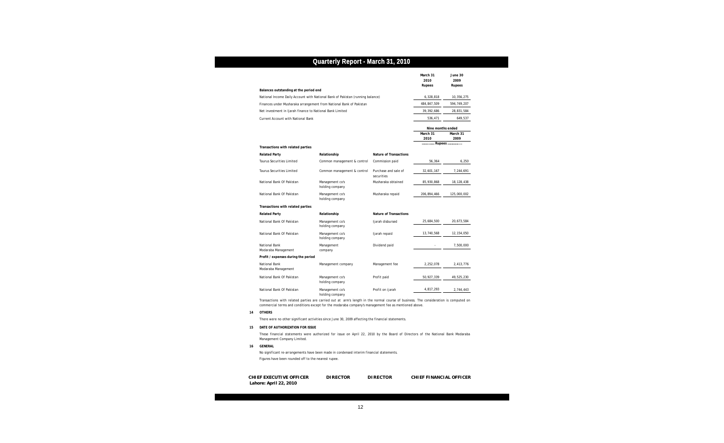

### **Quarterly Report - March 31, 2010**

|                                                                                |                                    |                                    | March 31<br>2010<br>Rupees | June 30<br>2009<br>Rupees |
|--------------------------------------------------------------------------------|------------------------------------|------------------------------------|----------------------------|---------------------------|
| Balances outstanding at the period end                                         |                                    |                                    |                            |                           |
| National Income Daily Account with National Bank of Pakistan (running balance) |                                    |                                    | 6,328,818                  | 10,356,275                |
| Finances under Musharaka arrangement from National Bank of Pakistan            |                                    |                                    | 484, 847, 509              | 594,749,207               |
| Net investment in Ijarah finance to National Bank Limited                      |                                    |                                    | 39, 392, 686               | 28,831,584                |
| <b>Current Account with National Bank</b>                                      |                                    |                                    | 536,471                    | 649,537                   |
|                                                                                |                                    |                                    | Nine months ended          |                           |
|                                                                                |                                    |                                    | March 31<br>2010           | March 31<br>2009          |
| Transactions with related parties                                              |                                    |                                    | Rupees                     |                           |
| <b>Related Party</b>                                                           | Relationship                       | Nature of Transactions             |                            |                           |
| <b>Taurus Securities Limited</b>                                               | Common management & control        | Commission paid                    | 56,364                     | 6,250                     |
| Taurus Securities Limited                                                      | Common management & control        | Purchase and sale of<br>securities | 32,601,167                 | 7,244,691                 |
| National Bank Of Pakistan                                                      | Management co's<br>holding company | Musharaka obtained                 | 85,930,868                 | 18, 128, 438              |
| National Bank Of Pakistan                                                      | Management co's<br>holding company | Musharaka repaid                   | 206,894,466                | 125,000,002               |
| Transactions with related parties                                              |                                    |                                    |                            |                           |
| <b>Related Party</b>                                                           | Relationship                       | Nature of Transactions             |                            |                           |
| National Bank Of Pakistan                                                      | Management co's<br>holding company | Ijarah disbursed                   | 25,684,500                 | 20,673,584                |
| National Bank Of Pakistan                                                      | Management co's<br>holding company | Ijarah repaid                      | 13,740,568                 | 12, 154, 050              |
| National Bank<br>Modaraba Management                                           | Management<br>company              | Dividend paid                      |                            | 7,500,000                 |
| Profit / expenses during the period                                            |                                    |                                    |                            |                           |
| National Bank<br>Modaraba Management                                           | Management company                 | Management fee                     | 2,252,078                  | 2,413,776                 |
| National Bank Of Pakistan                                                      | Management co's<br>holding company | Profit paid                        | 50,927,339                 | 49,525,230                |
| National Bank Of Pakistan                                                      | Management co's<br>holding company | Profit on ijarah                   | 4,817,293                  | 2,744,443                 |

#### **14 OTHERS**

There were no other significant activities since June 30, 2009 affecting the financial statements.

#### **15 DATE OF AUTHORIZATION FOR ISSUE**

#### **16 GENERAL**

Figures have been rounded off to the nearest rupee. No significant re-arrangements have been made in condensed interim financial statements.

Transactions with related parties are carried out at arm's length in the normal course of business. The consideration is computed on commercial terms and conditions except for the modaraba company's management fee as mentioned above.

These financial statements were authorized for issue on April 22, 2010 by the Board of Directors of the National Bank Modaraba Management Company Limited.

| CHI EF EXECUTI VE OFFI CER | DIRECTOR. | <b>DIRECTOR</b> | CHIEF FINANCIAL OFFICER |
|----------------------------|-----------|-----------------|-------------------------|
| Lahore: April 22, 2010     |           |                 |                         |